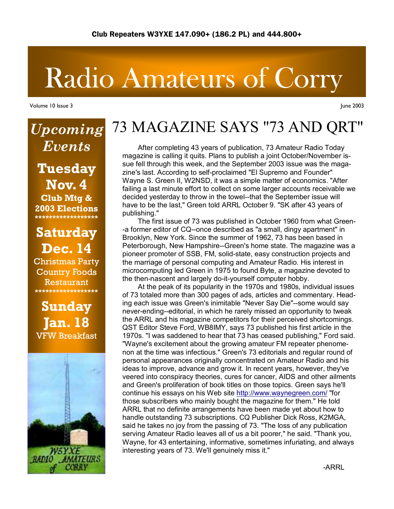# Radio Amateurs of Corry

Volume 10 Issue 3

*Upcoming* 

*Events* 

**Tuesday** 

**Nov. 4**

June 2003

# 73 MAGAZINE SAYS "73 AND QRT"

 After completing 43 years of publication, 73 Amateur Radio Today magazine is calling it quits. Plans to publish a joint October/November issue fell through this week, and the September 2003 issue was the magazine's last. According to self-proclaimed "El Supremo and Founder" Wayne S. Green II, W2NSD, it was a simple matter of economics. "After failing a last minute effort to collect on some larger accounts receivable we decided yesterday to throw in the towel--that the September issue will have to be the last," Green told ARRL October 9. "SK after 43 years of publishing."

 The first issue of 73 was published in October 1960 from what Green- -a former editor of CQ--once described as "a small, dingy apartment" in Brooklyn, New York. Since the summer of 1962, 73 has been based in Peterborough, New Hampshire--Green's home state. The magazine was a pioneer promoter of SSB, FM, solid-state, easy construction projects and the marriage of personal computing and Amateur Radio. His interest in microcomputing led Green in 1975 to found Byte, a magazine devoted to the then-nascent and largely do-it-yourself computer hobby.

 At the peak of its popularity in the 1970s and 1980s, individual issues of 73 totaled more than 300 pages of ads, articles and commentary. Heading each issue was Green's inimitable "Never Say Die"--some would say never-ending--editorial, in which he rarely missed an opportunity to tweak the ARRL and his magazine competitors for their perceived shortcomings. QST Editor Steve Ford, WB8IMY, says 73 published his first article in the 1970s. "I was saddened to hear that 73 has ceased publishing," Ford said. "Wayne's excitement about the growing amateur FM repeater phenomenon at the time was infectious." Green's 73 editorials and regular round of personal appearances originally concentrated on Amateur Radio and his ideas to improve, advance and grow it. In recent years, however, they've veered into conspiracy theories, cures for cancer, AIDS and other ailments and Green's proliferation of book titles on those topics. Green says he'll continue his essays on his Web site http://www.waynegreen.com/ "for those subscribers who mainly bought the magazine for them." He told ARRL that no definite arrangements have been made yet about how to handle outstanding 73 subscriptions. CQ Publisher Dick Ross, K2MGA, said he takes no joy from the passing of 73. "The loss of any publication serving Amateur Radio leaves all of us a bit poorer," he said. "Thank you, Wayne, for 43 entertaining, informative, sometimes infuriating, and always interesting years of 73. We'll genuinely miss it."

**Club Mtg & 2003 Elections \*\*\*\*\*\*\*\*\*\*\*\*\*\*\*\*\*\* Saturday Dec. 14**  Christmas Party

Country Foods Restaurant **\*\*\*\*\*\*\*\*\*\*\*\*\*\*\*\*\*\***

**Sunday Jan. 18**  VFW Breakfast

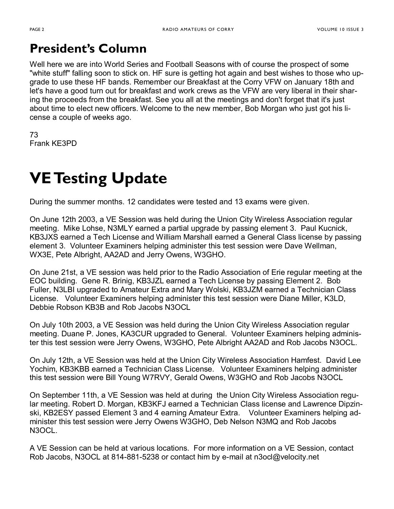### **President's Column**

Well here we are into World Series and Football Seasons with of course the prospect of some "white stuff" falling soon to stick on. HF sure is getting hot again and best wishes to those who upgrade to use these HF bands. Remember our Breakfast at the Corry VFW on January 18th and let's have a good turn out for breakfast and work crews as the VFW are very liberal in their sharing the proceeds from the breakfast. See you all at the meetings and don't forget that it's just about time to elect new officers. Welcome to the new member, Bob Morgan who just got his license a couple of weeks ago.

73 Frank KE3PD

# **VE Testing Update**

During the summer months. 12 candidates were tested and 13 exams were given.

On June 12th 2003, a VE Session was held during the Union City Wireless Association regular meeting. Mike Lohse, N3MLY earned a partial upgrade by passing element 3. Paul Kucnick, KB3JXS earned a Tech License and William Marshall earned a General Class license by passing element 3. Volunteer Examiners helping administer this test session were Dave Wellman, WX3E, Pete Albright, AA2AD and Jerry Owens, W3GHO.

On June 21st, a VE session was held prior to the Radio Association of Erie regular meeting at the EOC building. Gene R. Brinig, KB3JZL earned a Tech License by passing Element 2. Bob Fuller, N3LBI upgraded to Amateur Extra and Mary Wolski, KB3JZM earned a Technician Class License. Volunteer Examiners helping administer this test session were Diane Miller, K3LD, Debbie Robson KB3B and Rob Jacobs N3OCL

On July 10th 2003, a VE Session was held during the Union City Wireless Association regular meeting. Duane P. Jones, KA3CUR upgraded to General. Volunteer Examiners helping administer this test session were Jerry Owens, W3GHO, Pete Albright AA2AD and Rob Jacobs N3OCL.

On July 12th, a VE Session was held at the Union City Wireless Association Hamfest. David Lee Yochim, KB3KBB earned a Technician Class License. Volunteer Examiners helping administer this test session were Bill Young W7RVY, Gerald Owens, W3GHO and Rob Jacobs N3OCL

On September 11th, a VE Session was held at during the Union City Wireless Association regular meeting. Robert D. Morgan, KB3KFJ earned a Technician Class license and Lawrence Dipzinski, KB2ESY passed Element 3 and 4 earning Amateur Extra. Volunteer Examiners helping administer this test session were Jerry Owens W3GHO, Deb Nelson N3MQ and Rob Jacobs N3OCL.

A VE Session can be held at various locations. For more information on a VE Session, contact Rob Jacobs, N3OCL at 814-881-5238 or contact him by e-mail at n3ocl@velocity.net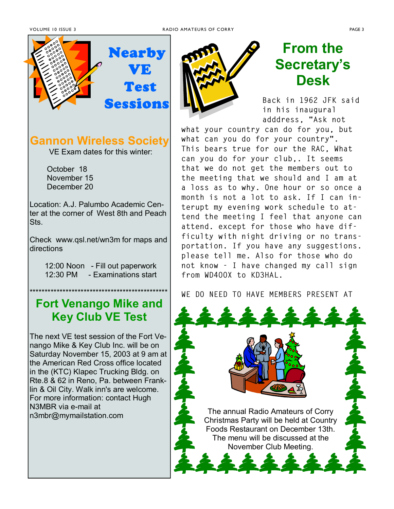

### **Gannon Wireless Society**

VE Exam dates for this winter:

 October 18 November 15 December 20

Location: A.J. Palumbo Academic Center at the corner of West 8th and Peach Sts.

Check www.qsl.net/wn3m for maps and directions

> 12:00 Noon - Fill out paperwork 12:30 PM - Examinations start

### \*\*\*\*\*\*\*\*\*\*\*\*\*\*\*\*\*\*\*\*\*\*\*\*\*\*\*\*\*\*\*\*\*\*\*\*\*\*\*\*\*\*\*\*\*\* **Fort Venango Mike and Key Club VE Test**

The next VE test session of the Fort Venango Mike & Key Club Inc. will be on Saturday November 15, 2003 at 9 am at the American Red Cross office located in the (KTC) Klapec Trucking Bldg. on Rte.8 & 62 in Reno, Pa. between Franklin & Oil City. Walk inn's are welcome. For more information: contact Hugh N3MBR via e-mail at



# **From the Secretaryís Desk**

**Back in 1962 JFK said in his inaugural adddress, "Ask not** 

**what your country can do for you, but what can you do for your country". This bears true for our the RAC, What can you do for your club,. It seems that we do not get the members out to the meeting that we should and I am at a loss as to why. One hour or so once a month is not a lot to ask. If I can interupt my evening work schedule to attend the meeting I feel that anyone can attend. except for those who have difficulty with night driving or no transportation. If you have any suggestions. please tell me. Also for those who do not know - I have changed my call sign from WD4OOX to KD3HAL.** 

**WE DO NEED TO HAVE MEMBERS PRESENT AT** 

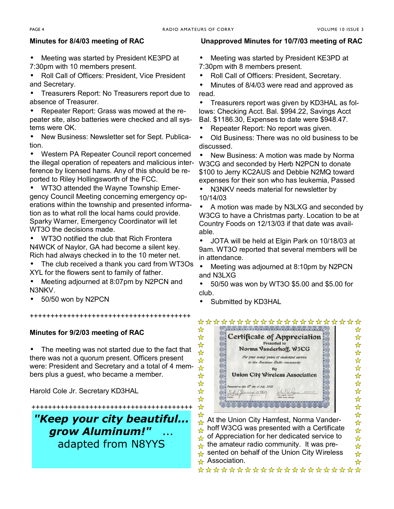#### **Minutes for 8/4/03 meeting of RAC**

- Meeting was started by President KE3PD at 7:30pm with 10 members present.
- Roll Call of Officers: President, Vice President and Secretary.

• Treasurers Report: No Treasurers report due to absence of Treasurer.

• Repeater Report: Grass was mowed at the repeater site, also batteries were checked and all systems were OK.

• New Business: Newsletter set for Sept. Publication.

• Western PA Repeater Council report concerned the illegal operation of repeaters and malicious interference by licensed hams. Any of this should be reported to Riley Hollingsworth of the FCC.

• WT3O attended the Wayne Township Emergency Council Meeting concerning emergency operations within the township and presented information as to what roll the local hams could provide. Sparky Warner, Emergency Coordinator will let WT3O the decisions made.

• WT3O notified the club that Rich Frontera N4WCK of Naylor, GA had become a silent key. Rich had always checked in to the 10 meter net.

• The club received a thank you card from WT3Os XYL for the flowers sent to family of father.

• Meeting adjourned at 8:07pm by N2PCN and N3NKV.

+++++++++++++++++++++++++++++++++++++++

• 50/50 won by N2PCN

#### **Minutes for 9/2/03 meeting of RAC**

• The meeting was not started due to the fact that there was not a quorum present. Officers present were: President and Secretary and a total of 4 members plus a guest, who became a member.

Harold Cole Jr. Secretary KD3HAL

+++++++++++++++++++++++++++++++++++++++ *"Keep your city beautiful... grow Aluminum!"* ... adapted from N8YYS

#### **Unapproved Minutes for 10/7/03 meeting of RAC**

- Meeting was started by President KE3PD at 7:30pm with 8 members present.
- Roll Call of Officers: President, Secretary.

• Minutes of 8/4/03 were read and approved as read.

• Treasurers report was given by KD3HAL as follows: Checking Acct. Bal. \$994.22, Savings Acct Bal. \$1186.30, Expenses to date were \$948.47.

• Repeater Report: No report was given.

• Old Business: There was no old business to be discussed.

• New Business: A motion was made by Norma W3CG and seconded by Herb N2PCN to donate \$100 to Jerry KC2AUS and Debbie N2MQ toward expenses for their son who has leukemia, Passed

• N3NKV needs material for newsletter by 10/14/03

• A motion was made by N3LXG and seconded by W3CG to have a Christmas party. Location to be at Country Foods on 12/13/03 if that date was available.

• JOTA will be held at Elgin Park on 10/18/03 at 9am. WT3O reported that several members will be in attendance.

• Meeting was adjourned at 8:10pm by N2PCN and N3LXG

• 50/50 was won by WT3O \$5.00 and \$5.00 for club.

• Submitted by KD3HAL

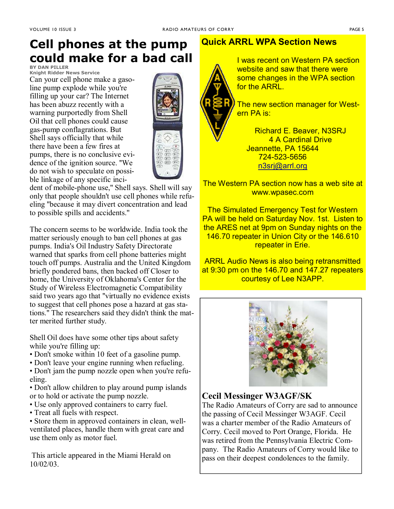## **Cell phones at the pump could make for a bad call**

**BY DAN PILLER**

**Knight Ridder News Service** Can your cell phone make a gasoline pump explode while you're filling up your car? The Internet has been abuzz recently with a warning purportedly from Shell Oil that cell phones could cause gas-pump conflagrations. But Shell says officially that while there have been a few fires at pumps, there is no conclusive evidence of the ignition source. ''We do not wish to speculate on possible linkage of any specific inci-



dent of mobile-phone use,'' Shell says. Shell will say only that people shouldn't use cell phones while refueling ''because it may divert concentration and lead to possible spills and accidents.''

The concern seems to be worldwide. India took the matter seriously enough to ban cell phones at gas pumps. India's Oil Industry Safety Directorate warned that sparks from cell phone batteries might touch off pumps. Australia and the United Kingdom briefly pondered bans, then backed off Closer to home, the University of Oklahoma's Center for the Study of Wireless Electromagnetic Compatibility said two years ago that ''virtually no evidence exists to suggest that cell phones pose a hazard at gas stations.'' The researchers said they didn't think the matter merited further study.

Shell Oil does have some other tips about safety while you're filling up:

- Don't smoke within 10 feet of a gasoline pump.
- Don't leave your engine running when refueling.

• Don't jam the pump nozzle open when you're refueling.

• Don't allow children to play around pump islands or to hold or activate the pump nozzle.

- ï Use only approved containers to carry fuel.
- Treat all fuels with respect.

• Store them in approved containers in clean, wellventilated places, handle them with great care and use them only as motor fuel.

 This article appeared in the Miami Herald on 10/02/03.

#### **Quick ARRL WPA Section News**



I was recent on Western PA section website and saw that there were some changes in the WPA section for the ARRL.

The new section manager for Western PA is:

Richard E. Beaver, N3SRJ 4 A Cardinal Drive Jeannette, PA 15644 724-523-5656 n3srj@arrl.org

The Western PA section now has a web site at www.wpasec.com

The Simulated Emergency Test for Western PA will be held on Saturday Nov. 1st. Listen to the ARES net at 9pm on Sunday nights on the 146.70 repeater in Union City or the 146.610 repeater in Erie.

ARRL Audio News is also being retransmitted at 9:30 pm on the 146.70 and 147.27 repeaters courtesy of Lee N3APP.



#### **Cecil Messinger W3AGF/SK**

The Radio Amateurs of Corry are sad to announce the passing of Cecil Messinger W3AGF. Cecil was a charter member of the Radio Amateurs of Corry. Cecil moved to Port Orange, Florida. He was retired from the Pennsylvania Electric Company. The Radio Amateurs of Corry would like to pass on their deepest condolences to the family.